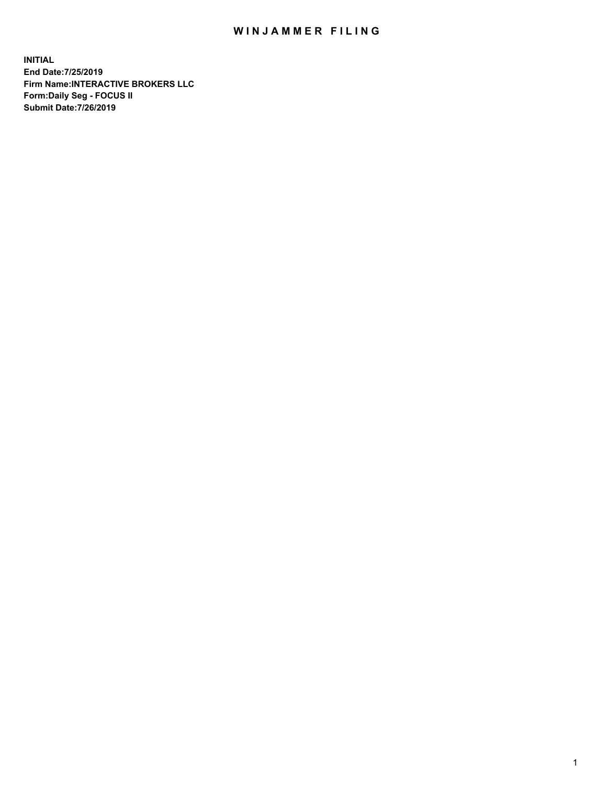## WIN JAMMER FILING

**INITIAL End Date:7/25/2019 Firm Name:INTERACTIVE BROKERS LLC Form:Daily Seg - FOCUS II Submit Date:7/26/2019**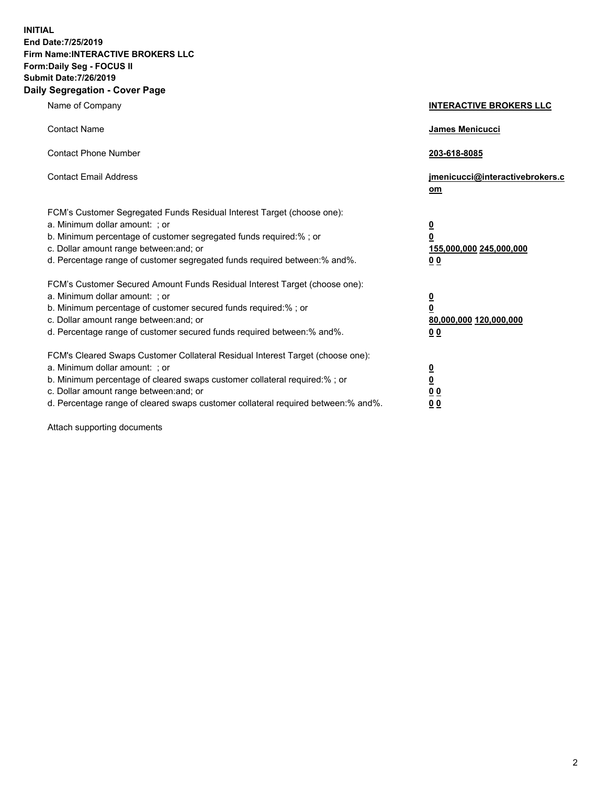**INITIAL End Date:7/25/2019 Firm Name:INTERACTIVE BROKERS LLC Form:Daily Seg - FOCUS II Submit Date:7/26/2019 Daily Segregation - Cover Page**

| Name of Company                                                                                                                                                                                                                                                                                                                | <b>INTERACTIVE BROKERS LLC</b>                                                                  |
|--------------------------------------------------------------------------------------------------------------------------------------------------------------------------------------------------------------------------------------------------------------------------------------------------------------------------------|-------------------------------------------------------------------------------------------------|
| <b>Contact Name</b>                                                                                                                                                                                                                                                                                                            | James Menicucci                                                                                 |
| <b>Contact Phone Number</b>                                                                                                                                                                                                                                                                                                    | 203-618-8085                                                                                    |
| <b>Contact Email Address</b>                                                                                                                                                                                                                                                                                                   | jmenicucci@interactivebrokers.c<br>om                                                           |
| FCM's Customer Segregated Funds Residual Interest Target (choose one):<br>a. Minimum dollar amount: ; or<br>b. Minimum percentage of customer segregated funds required:% ; or<br>c. Dollar amount range between: and; or<br>d. Percentage range of customer segregated funds required between:% and%.                         | $\overline{\mathbf{0}}$<br>$\overline{\mathbf{0}}$<br>155,000,000 245,000,000<br>0 <sub>0</sub> |
| FCM's Customer Secured Amount Funds Residual Interest Target (choose one):<br>a. Minimum dollar amount: ; or<br>b. Minimum percentage of customer secured funds required:% ; or<br>c. Dollar amount range between: and; or<br>d. Percentage range of customer secured funds required between:% and%.                           | $\overline{\mathbf{0}}$<br>0<br>80,000,000 120,000,000<br>0 <sub>0</sub>                        |
| FCM's Cleared Swaps Customer Collateral Residual Interest Target (choose one):<br>a. Minimum dollar amount: ; or<br>b. Minimum percentage of cleared swaps customer collateral required:% ; or<br>c. Dollar amount range between: and; or<br>d. Percentage range of cleared swaps customer collateral required between:% and%. | $\overline{\mathbf{0}}$<br><u>0</u><br>$\underline{0}$ $\underline{0}$<br>00                    |

Attach supporting documents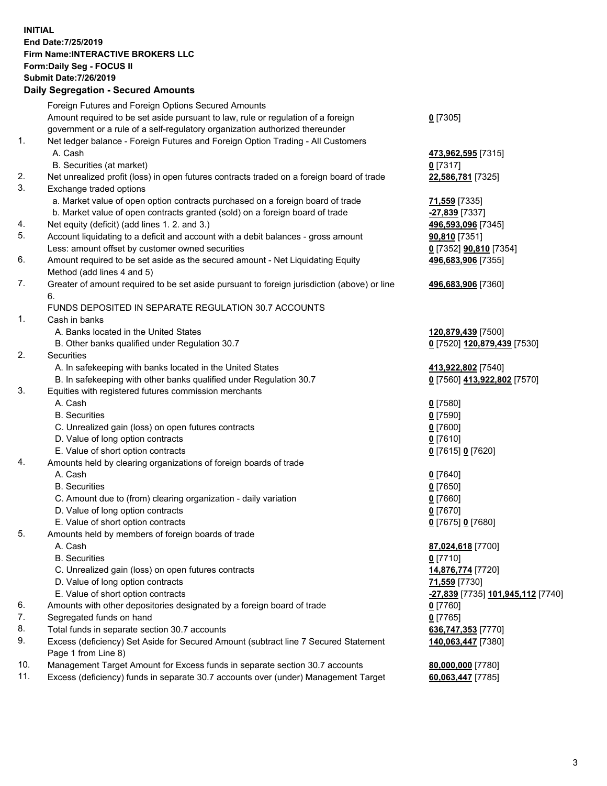## **INITIAL End Date:7/25/2019 Firm Name:INTERACTIVE BROKERS LLC Form:Daily Seg - FOCUS II Submit Date:7/26/2019 Daily Segregation - Secured Amounts**

|                | Daily Ocglegation - Occarea Anioants                                                                       |                                                |
|----------------|------------------------------------------------------------------------------------------------------------|------------------------------------------------|
|                | Foreign Futures and Foreign Options Secured Amounts                                                        |                                                |
|                | Amount required to be set aside pursuant to law, rule or regulation of a foreign                           | $0$ [7305]                                     |
|                | government or a rule of a self-regulatory organization authorized thereunder                               |                                                |
| $\mathbf{1}$ . | Net ledger balance - Foreign Futures and Foreign Option Trading - All Customers                            |                                                |
|                | A. Cash                                                                                                    | 473,962,595 [7315]                             |
|                | B. Securities (at market)                                                                                  | $0$ [7317]                                     |
| 2.             | Net unrealized profit (loss) in open futures contracts traded on a foreign board of trade                  | 22,586,781 [7325]                              |
| 3.             | Exchange traded options                                                                                    |                                                |
|                | a. Market value of open option contracts purchased on a foreign board of trade                             | 71,559 [7335]                                  |
|                | b. Market value of open contracts granted (sold) on a foreign board of trade                               | -27,839 [7337]                                 |
| 4.             | Net equity (deficit) (add lines 1. 2. and 3.)                                                              | 496,593,096 [7345]                             |
| 5.             | Account liquidating to a deficit and account with a debit balances - gross amount                          | 90,810 [7351]                                  |
|                | Less: amount offset by customer owned securities                                                           | 0 [7352] <b>90,810</b> [7354]                  |
| 6.             | Amount required to be set aside as the secured amount - Net Liquidating Equity                             | 496,683,906 [7355]                             |
|                | Method (add lines 4 and 5)                                                                                 |                                                |
| 7.             | Greater of amount required to be set aside pursuant to foreign jurisdiction (above) or line<br>6.          | 496,683,906 [7360]                             |
|                | FUNDS DEPOSITED IN SEPARATE REGULATION 30.7 ACCOUNTS                                                       |                                                |
| 1.             | Cash in banks                                                                                              |                                                |
|                | A. Banks located in the United States                                                                      | 120,879,439 [7500]                             |
|                | B. Other banks qualified under Regulation 30.7                                                             | 0 [7520] 120,879,439 [7530]                    |
| 2.             | Securities                                                                                                 |                                                |
|                | A. In safekeeping with banks located in the United States                                                  | 413,922,802 [7540]                             |
|                | B. In safekeeping with other banks qualified under Regulation 30.7                                         | 0 [7560] 413,922,802 [7570]                    |
| 3.             | Equities with registered futures commission merchants                                                      |                                                |
|                | A. Cash                                                                                                    | $0$ [7580]                                     |
|                | <b>B.</b> Securities                                                                                       | $0$ [7590]                                     |
|                | C. Unrealized gain (loss) on open futures contracts                                                        | $0$ [7600]                                     |
|                | D. Value of long option contracts                                                                          | $0$ [7610]                                     |
|                | E. Value of short option contracts                                                                         | 0 [7615] 0 [7620]                              |
| 4.             | Amounts held by clearing organizations of foreign boards of trade                                          |                                                |
|                | A. Cash                                                                                                    | $0$ [7640]                                     |
|                | <b>B.</b> Securities                                                                                       | $0$ [7650]                                     |
|                | C. Amount due to (from) clearing organization - daily variation                                            | $0$ [7660]                                     |
|                | D. Value of long option contracts                                                                          | $0$ [7670]                                     |
|                | E. Value of short option contracts                                                                         | 0 [7675] 0 [7680]                              |
| 5.             | Amounts held by members of foreign boards of trade                                                         |                                                |
|                | A. Cash                                                                                                    | 87,024,618 [7700]                              |
|                | <b>B.</b> Securities                                                                                       | $0$ [7710]                                     |
|                | C. Unrealized gain (loss) on open futures contracts                                                        | 14,876,774 [7720]                              |
|                | D. Value of long option contracts                                                                          | 71,559 [7730]                                  |
|                | E. Value of short option contracts                                                                         | <mark>-27,839</mark> [7735] 101,945,112 [7740] |
| 6.             | Amounts with other depositories designated by a foreign board of trade                                     | 0 [7760]                                       |
| 7.             | Segregated funds on hand                                                                                   | $0$ [7765]                                     |
| 8.             | Total funds in separate section 30.7 accounts                                                              | 636,747,353 [7770]                             |
| 9.             | Excess (deficiency) Set Aside for Secured Amount (subtract line 7 Secured Statement<br>Page 1 from Line 8) | 140,063,447 [7380]                             |
| 10.            | Management Target Amount for Excess funds in separate section 30.7 accounts                                | 80,000,000 [7780]                              |
| 11.            | Excess (deficiency) funds in separate 30.7 accounts over (under) Management Target                         | 60,063,447 [7785]                              |
|                |                                                                                                            |                                                |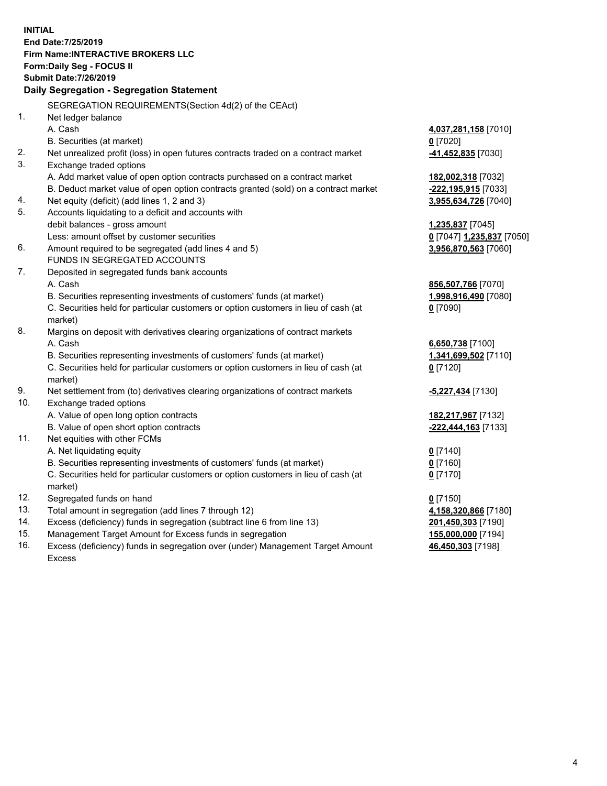**INITIAL End Date:7/25/2019 Firm Name:INTERACTIVE BROKERS LLC Form:Daily Seg - FOCUS II Submit Date:7/26/2019 Daily Segregation - Segregation Statement** SEGREGATION REQUIREMENTS(Section 4d(2) of the CEAct) 1. Net ledger balance A. Cash **4,037,281,158** [7010] B. Securities (at market) **0** [7020] 2. Net unrealized profit (loss) in open futures contracts traded on a contract market **-41,452,835** [7030] 3. Exchange traded options A. Add market value of open option contracts purchased on a contract market **182,002,318** [7032] B. Deduct market value of open option contracts granted (sold) on a contract market **-222,195,915** [7033] 4. Net equity (deficit) (add lines 1, 2 and 3) **3,955,634,726** [7040] 5. Accounts liquidating to a deficit and accounts with debit balances - gross amount **1,235,837** [7045] Less: amount offset by customer securities **0** [7047] **1,235,837** [7050] 6. Amount required to be segregated (add lines 4 and 5) **3,956,870,563** [7060] FUNDS IN SEGREGATED ACCOUNTS 7. Deposited in segregated funds bank accounts A. Cash **856,507,766** [7070] B. Securities representing investments of customers' funds (at market) **1,998,916,490** [7080] C. Securities held for particular customers or option customers in lieu of cash (at market) **0** [7090] 8. Margins on deposit with derivatives clearing organizations of contract markets A. Cash **6,650,738** [7100] B. Securities representing investments of customers' funds (at market) **1,341,699,502** [7110] C. Securities held for particular customers or option customers in lieu of cash (at market) **0** [7120] 9. Net settlement from (to) derivatives clearing organizations of contract markets **-5,227,434** [7130] 10. Exchange traded options A. Value of open long option contracts **182,217,967** [7132] B. Value of open short option contracts **-222,444,163** [7133] 11. Net equities with other FCMs A. Net liquidating equity **0** [7140] B. Securities representing investments of customers' funds (at market) **0** [7160] C. Securities held for particular customers or option customers in lieu of cash (at market) **0** [7170] 12. Segregated funds on hand **0** [7150] 13. Total amount in segregation (add lines 7 through 12) **4,158,320,866** [7180] 14. Excess (deficiency) funds in segregation (subtract line 6 from line 13) **201,450,303** [7190] 15. Management Target Amount for Excess funds in segregation **155,000,000** [7194] **46,450,303** [7198]

16. Excess (deficiency) funds in segregation over (under) Management Target Amount Excess